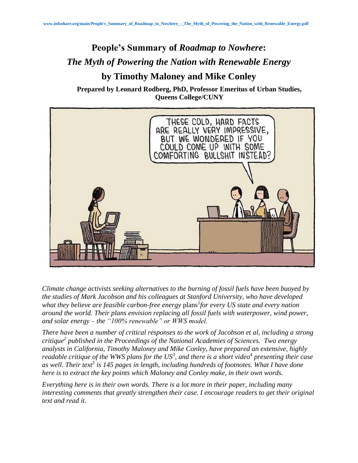## **People's Summary of** *Roadmap to Nowhere***:** *The Myth of Powering the Nation with Renewable Energy* **by Timothy Maloney and Mike Conley**

**Prepared by Leonard Rodberg, PhD, Professor Emeritus of Urban Studies, Queens College/CUNY**



*Climate change activists seeking alternatives to the burning of fossil fuels have been buoyed by the studies of Mark Jacobson and his colleagues at Stanford University, who have developed*  what they believe are feasible carbon-free energy plans<sup>1</sup>for every US state and every nation *around the world. Their plans envision replacing all fossil fuels with waterpower, wind power, and solar energy – the "100% renewable" or WWS model.*

*There have been a number of critical responses to the work of Jacobson et al, including a strong critique<sup>2</sup> published in the Proceedings of the National Academies of Sciences. Two energy analysts in California, Timothy Maloney and Mike Conley, have prepared an extensive, highly readable critique of the WWS plans for the US<sup>3</sup> , and there is a short video<sup>4</sup> presenting their case as well. Their text 5 is 145 pages in length, including hundreds of footnotes. What I have done here is to extract the key points which Maloney and Conley make, in their own words.*

*Everything here is in their own words. There is a lot more in their paper, including many interesting comments that greatly strengthen their case. I encourage readers to get their original text and read it.*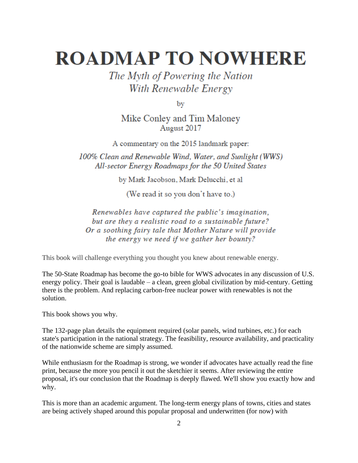# **ROADMAP TO NOWHERE**

## The Myth of Powering the Nation With Renewable Energy

by

Mike Conley and Tim Maloney August 2017

A commentary on the 2015 landmark paper:

100% Clean and Renewable Wind, Water, and Sunlight (WWS) All-sector Energy Roadmaps for the 50 United States

by Mark Jacobson, Mark Delucchi, et al

(We read it so you don't have to.)

Renewables have captured the public's imagination, but are they a realistic road to a sustainable future? Or a soothing fairy tale that Mother Nature will provide the energy we need if we gather her bounty?

This book will challenge everything you thought you knew about renewable energy.

The 50-State Roadmap has become the go-to bible for WWS advocates in any discussion of U.S. energy policy. Their goal is laudable – a clean, green global civilization by mid-century. Getting there is the problem. And replacing carbon-free nuclear power with renewables is not the solution.

This book shows you why.

The 132-page plan details the equipment required (solar panels, wind turbines, etc.) for each state's participation in the national strategy. The feasibility, resource availability, and practicality of the nationwide scheme are simply assumed.

While enthusiasm for the Roadmap is strong, we wonder if advocates have actually read the fine print, because the more you pencil it out the sketchier it seems. After reviewing the entire proposal, it's our conclusion that the Roadmap is deeply flawed. We'll show you exactly how and why.

This is more than an academic argument. The long-term energy plans of towns, cities and states are being actively shaped around this popular proposal and underwritten (for now) with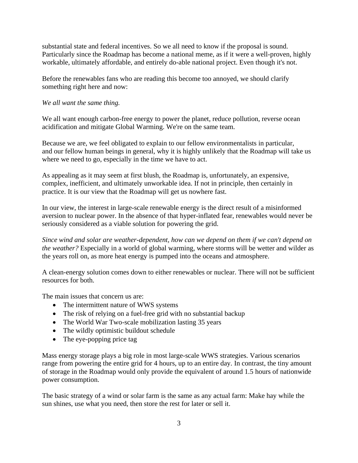substantial state and federal incentives. So we all need to know if the proposal is sound. Particularly since the Roadmap has become a national meme, as if it were a well-proven, highly workable, ultimately affordable, and entirely do-able national project. Even though it's not.

Before the renewables fans who are reading this become too annoyed, we should clarify something right here and now:

### *We all want the same thing.*

We all want enough carbon-free energy to power the planet, reduce pollution, reverse ocean acidification and mitigate Global Warming. We're on the same team.

Because we are, we feel obligated to explain to our fellow environmentalists in particular, and our fellow human beings in general, why it is highly unlikely that the Roadmap will take us where we need to go, especially in the time we have to act.

As appealing as it may seem at first blush, the Roadmap is, unfortunately, an expensive, complex, inefficient, and ultimately unworkable idea. If not in principle, then certainly in practice. It is our view that the Roadmap will get us nowhere fast.

In our view, the interest in large-scale renewable energy is the direct result of a misinformed aversion to nuclear power. In the absence of that hyper-inflated fear, renewables would never be seriously considered as a viable solution for powering the grid.

*Since wind and solar are weather-dependent, how can we depend on them if we can't depend on the weather?* Especially in a world of global warming, where storms will be wetter and wilder as the years roll on, as more heat energy is pumped into the oceans and atmosphere.

A clean-energy solution comes down to either renewables or nuclear. There will not be sufficient resources for both.

The main issues that concern us are:

- The intermittent nature of WWS systems
- The risk of relying on a fuel-free grid with no substantial backup
- The World War Two-scale mobilization lasting 35 years
- The wildly optimistic buildout schedule
- The eye-popping price tag

Mass energy storage plays a big role in most large-scale WWS strategies. Various scenarios range from powering the entire grid for 4 hours, up to an entire day. In contrast, the tiny amount of storage in the Roadmap would only provide the equivalent of around 1.5 hours of nationwide power consumption.

The basic strategy of a wind or solar farm is the same as any actual farm: Make hay while the sun shines, use what you need, then store the rest for later or sell it.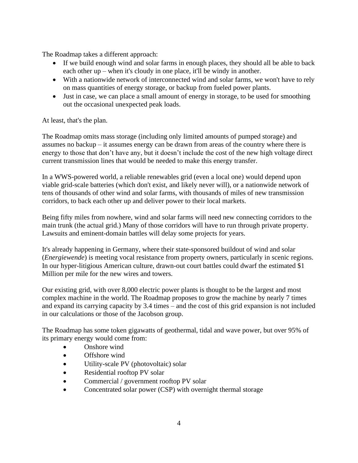The Roadmap takes a different approach:

- If we build enough wind and solar farms in enough places, they should all be able to back each other up – when it's cloudy in one place, it'll be windy in another.
- With a nationwide network of interconnected wind and solar farms, we won't have to rely on mass quantities of energy storage, or backup from fueled power plants.
- Just in case, we can place a small amount of energy in storage, to be used for smoothing out the occasional unexpected peak loads.

### At least, that's the plan.

The Roadmap omits mass storage (including only limited amounts of pumped storage) and assumes no backup – it assumes energy can be drawn from areas of the country where there is energy to those that don't have any, but it doesn't include the cost of the new high voltage direct current transmission lines that would be needed to make this energy transfer.

In a WWS-powered world, a reliable renewables grid (even a local one) would depend upon viable grid-scale batteries (which don't exist, and likely never will), or a nationwide network of tens of thousands of other wind and solar farms, with thousands of miles of new transmission corridors, to back each other up and deliver power to their local markets.

Being fifty miles from nowhere, wind and solar farms will need new connecting corridors to the main trunk (the actual grid.) Many of those corridors will have to run through private property. Lawsuits and eminent-domain battles will delay some projects for years.

It's already happening in Germany, where their state-sponsored buildout of wind and solar (*Energiewende*) is meeting vocal resistance from property owners, particularly in scenic regions. In our hyper-litigious American culture, drawn-out court battles could dwarf the estimated \$1 Million per mile for the new wires and towers.

Our existing grid, with over 8,000 electric power plants is thought to be the largest and most complex machine in the world. The Roadmap proposes to grow the machine by nearly 7 times and expand its carrying capacity by 3.4 times – and the cost of this grid expansion is not included in our calculations or those of the Jacobson group.

The Roadmap has some token gigawatts of geothermal, tidal and wave power, but over 95% of its primary energy would come from:

- Onshore wind
- Offshore wind
- Utility-scale PV (photovoltaic) solar
- Residential rooftop PV solar
- Commercial / government rooftop PV solar
- Concentrated solar power (CSP) with overnight thermal storage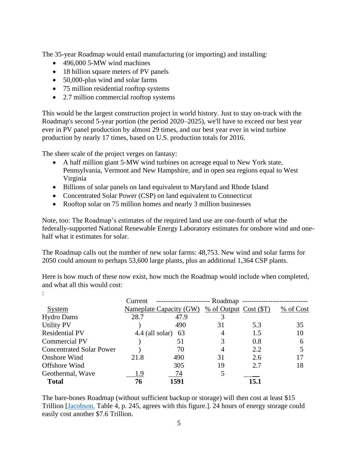The 35-year Roadmap would entail manufacturing (or importing) and installing:

- 496,000 5-MW wind machines
- 18 billion square meters of PV panels
- 50,000-plus wind and solar farms
- 75 million residential rooftop systems
- 2.7 million commercial rooftop systems

This would be the largest construction project in world history. Just to stay on-track with the Roadmap's second 5-year portion (the period 2020–2025), we'll have to exceed our best year ever in PV panel production by almost 29 times, and our best year ever in wind turbine production by nearly 17 times, based on U.S. production totals for 2016.

The sheer scale of the project verges on fantasy:

:

- A half million giant 5-MW wind turbines on acreage equal to New York state, Pennsylvania, Vermont and New Hampshire, and in open sea regions equal to West Virginia
- Billions of solar panels on land equivalent to Maryland and Rhode Island
- Concentrated Solar Power (CSP) on land equivalent to Connecticut
- Rooftop solar on 75 million homes and nearly 3 million businesses

Note, too: The Roadmap's estimates of the required land use are one-fourth of what the federally-supported National Renewable Energy Laboratory estimates for onshore wind and onehalf what it estimates for solar.

The Roadmap calls out the number of new solar farms: 48,753. New wind and solar farms for 2050 could amount to perhaps 53,600 large plants, plus an additional 1,364 CSP plants.

Here is how much of these now exist, how much the Roadmap would include when completed, and what all this would cost:

|                                 | -- Roadmap<br>Current |                                |    |                             |           |
|---------------------------------|-----------------------|--------------------------------|----|-----------------------------|-----------|
| <b>System</b>                   |                       | <b>Nameplate Capacity (GW)</b> |    | $\%$ of Output Cost $(\$T)$ | % of Cost |
| <b>Hydro Dams</b>               | 28.7                  | 47.9                           |    |                             |           |
| <b>Utility PV</b>               |                       | 490                            | 31 | 5.3                         | 35        |
| <b>Residential PV</b>           |                       | 4.4 (all solar)<br>63          | 4  | 1.5                         | 10        |
| Commercial PV                   |                       | 51                             | 3  | 0.8                         | 6         |
| <b>Concentrated Solar Power</b> |                       | 70                             | 4  | 2.2                         |           |
| Onshore Wind                    | 21.8                  | 490                            | 31 | 2.6                         | 17        |
| Offshore Wind                   |                       | 305                            | 19 | 2.7                         | 18        |
| Geothermal, Wave                | 1.9                   | 74                             | 5  |                             |           |
| <b>Total</b>                    | 76                    | 1591                           |    | 15.1                        |           |

The bare-bones Roadmap (without sufficient backup or storage) will then cost at least \$15 Trillion [\[Jacobson,](http://web.stanford.edu/group/efmh/jacobson/Articles/I/CombiningRenew/WorldGridIntegration.pdf) Table 4, p. 245, agrees with this figure.]. 24 hours of energy storage could easily cost another \$7.6 Trillion.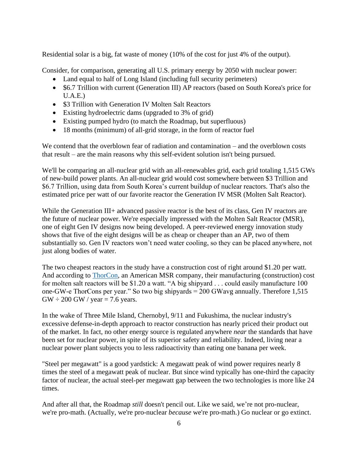Residential solar is a big, fat waste of money (10% of the cost for just 4% of the output).

Consider, for comparison, generating all U.S. primary energy by 2050 with nuclear power:

- Land equal to half of Long Island (including full security perimeters)
- \$6.7 Trillion with current (Generation III) AP reactors (based on South Korea's price for U.A.E.)
- \$3 Trillion with Generation IV Molten Salt Reactors
- Existing hydroelectric dams (upgraded to 3% of grid)
- Existing pumped hydro (to match the Roadmap, but superfluous)
- 18 months (minimum) of all-grid storage, in the form of reactor fuel

We contend that the overblown fear of radiation and contamination – and the overblown costs that result – are the main reasons why this self-evident solution isn't being pursued.

We'll be comparing an all-nuclear grid with an all-renewables grid, each grid totaling 1,515 GWs of new-build power plants. An all-nuclear grid would cost somewhere between \$3 Trillion and \$6.7 Trillion, using data from South Korea's current buildup of nuclear reactors. That's also the estimated price per watt of our favorite reactor the Generation IV MSR (Molten Salt Reactor).

While the Generation III+ advanced passive reactor is the best of its class, Gen IV reactors are the future of nuclear power. We're especially impressed with the Molten Salt Reactor (MSR), one of eight Gen IV designs now being developed. A peer-reviewed energy innovation study shows that five of the eight designs will be as cheap or cheaper than an AP, two of them substantially so. Gen IV reactors won't need water cooling, so they can be placed anywhere, not just along bodies of water.

The two cheapest reactors in the study have a construction cost of right around \$1.20 per watt. And according to [ThorCon,](http://thorconpower.com/docs/exec_summary2.pdf) an American MSR company, their manufacturing (construction) cost for molten salt reactors will be \$1.20 a watt. "A big shipyard . . . could easily manufacture 100 one-GW-e ThorCons per year." So two big shipyards = 200 GWavg annually. Therefore 1,515  $GW \div 200$  GW / year = 7.6 years.

In the wake of Three Mile Island, Chernobyl, 9/11 and Fukushima, the nuclear industry's excessive defense-in-depth approach to reactor construction has nearly priced their product out of the market. In fact, no other energy source is regulated anywhere *near* the standards that have been set for nuclear power, in spite of its superior safety and reliability. Indeed, living near a nuclear power plant subjects you to less radioactivity than eating one banana per week.

"Steel per megawatt" is a good yardstick: A megawatt peak of wind power requires nearly 8 times the steel of a megawatt peak of nuclear. But since wind typically has one-third the capacity factor of nuclear, the actual steel-per megawatt gap between the two technologies is more like 24 times.

And after all that, the Roadmap *still* doesn't pencil out. Like we said, we're not pro-nuclear, we're pro-math. (Actually, we're pro-nuclear *because* we're pro-math.) Go nuclear or go extinct.